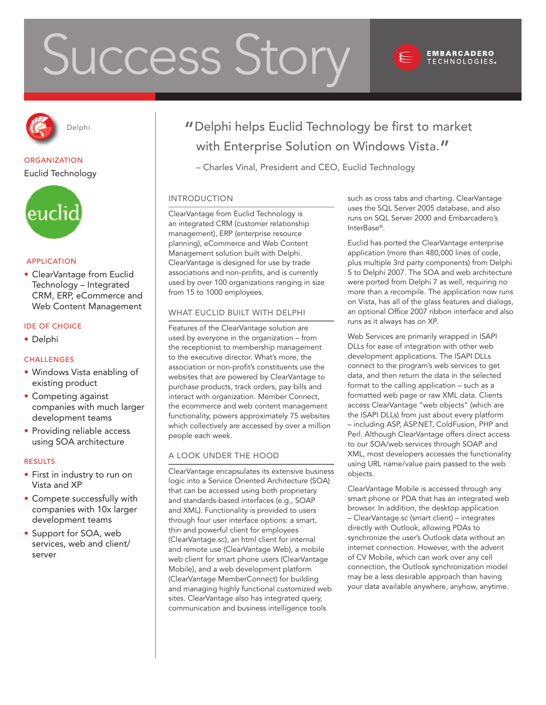# Success Story

#### **EMBARCADERO** TECHNOLOGIES®



# **ORGANIZATION**

Euclid Technology



## **APPLICATION**

• ClearVantage from Euclid Technology – Integrated CRM, ERP, eCommerce and Web Content Management

## IDE of Choice

• Delphi

# **CHALLENGES**

- Windows Vista enabling of existing product
- Competing against companies with much larger development teams
- Providing reliable access using SOA architecture

### **RESULTS**

- First in industry to run on Vista and XP
- Compete successfully with companies with 10x larger development teams
- Support for SOA, web services, web and client/ server

# "Delphi helps Euclid Technology be first to market with Enterprise Solution on Windows Vista."

– Charles Vinal, President and CEO, Euclid Technology

# Introduction

ClearVantage from Euclid Technology is an integrated CRM (customer relationship management), ERP (enterprise resource planning), eCommerce and Web Content Management solution built with Delphi. ClearVantage is designed for use by trade associations and non-profits, and is currently used by over 100 organizations ranging in size from 15 to 1000 employees.

## WHAT EUCLID BUILT WITH DELPHI

Features of the ClearVantage solution are used by everyone in the organization – from the receptionist to membership management to the executive director. What's more, the association or non-profit's constituents use the websites that are powered by ClearVantage to purchase products, track orders, pay bills and interact with organization. Member Connect, the ecommerce and web content management functionality, powers approximately 75 websites which collectively are accessed by over a million people each week.

# A Look Under the Hood

ClearVantage encapsulates its extensive business logic into a Service Oriented Architecture (SOA) that can be accessed using both proprietary and standards-based interfaces (e.g., SOAP and XML). Functionality is provided to users through four user interface options: a smart, thin and powerful client for employees (ClearVantage.sc), an html client for internal and remote use (ClearVantage Web), a mobile web client for smart phone users (ClearVantage Mobile), and a web development platform (ClearVantage MemberConnect) for building and managing highly functional customized web sites. ClearVantage also has integrated query, communication and business intelligence tools

such as cross tabs and charting. ClearVantage uses the SQL Server 2005 database, and also runs on SQL Server 2000 and Embarcadero's InterBase®.

Euclid has ported the ClearVantage enterprise application (more than 480,000 lines of code, plus multiple 3rd party components) from Delphi 5 to Delphi 2007. The SOA and web architecture were ported from Delphi 7 as well, requiring no more than a recompile. The application now runs on Vista, has all of the glass features and dialogs, an optional Office 2007 ribbon interface and also runs as it always has on XP.

Web Services are primarily wrapped in ISAPI DLLs for ease of integration with other web development applications. The ISAPI DLLs connect to the program's web services to get data, and then return the data in the selected format to the calling application – such as a formatted web page or raw XML data. Clients access ClearVantage "web objects" (which are the ISAPI DLLs) from just about every platform – including ASP, ASP.NET, ColdFusion, PHP and Perl. Although ClearVantage offers direct access to our SOA/web services through SOAP and XML, most developers accesses the functionality using URL name/value pairs passed to the web objects.

ClearVantage Mobile is accessed through any smart phone or PDA that has an integrated web browser. In addition, the desktop application – ClearVantage.sc (smart client) – integrates directly with Outlook, allowing PDAs to synchronize the user's Outlook data without an internet connection. However, with the advent of CV Mobile, which can work over any cell connection, the Outlook synchronization model may be a less desirable approach than having your data available anywhere, anyhow, anytime.